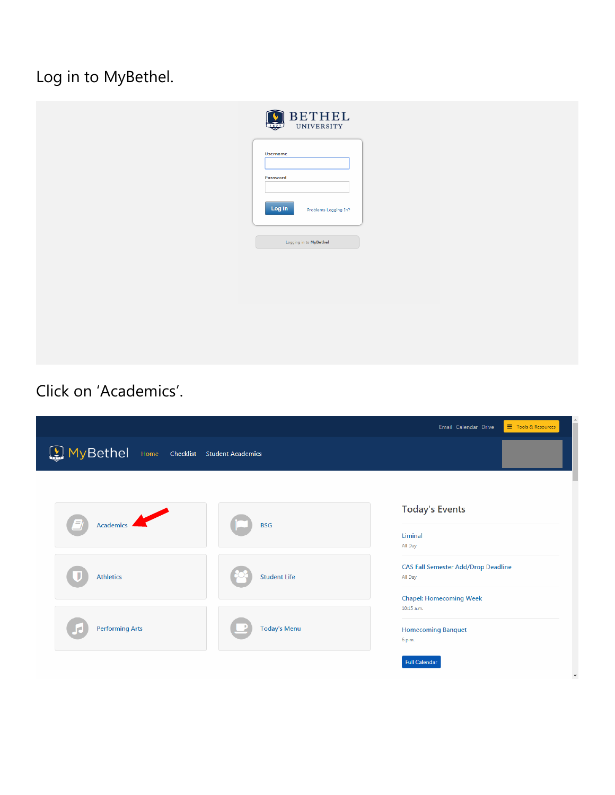Log in to MyBethel.

| $\underset{\text{university}}{\textrm{BETHEL}}$ |
|-------------------------------------------------|
| <b>Username</b><br>Password                     |
| Log in<br>Problems Logging In?                  |
| Logging in to MyBethel                          |
|                                                 |
|                                                 |
|                                                 |

Click on 'Academics'.

| MyBethel Home Checklist Student Academics |                     | Email Calendar Drive<br>Tools & Resources                                               |
|-------------------------------------------|---------------------|-----------------------------------------------------------------------------------------|
|                                           |                     |                                                                                         |
| Academics                                 | <b>BSG</b>          | <b>Today's Events</b><br>Liminal<br>All Day                                             |
| <b>Athletics</b>                          | <b>Student Life</b> | <b>CAS Fall Semester Add/Drop Deadline</b><br>All Day<br><b>Chapel: Homecoming Week</b> |
| <b>Performing Arts</b>                    | <b>Today's Menu</b> | 10:15 a.m.<br><b>Homecoming Banquet</b><br>6 p.m.                                       |
|                                           |                     | <b>Full Calendar</b>                                                                    |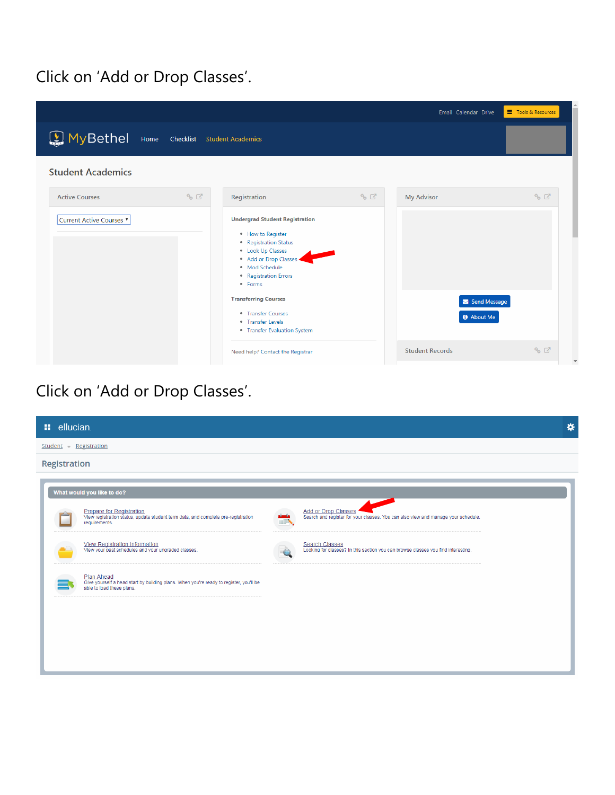#### Click on 'Add or Drop Classes'.



### Click on 'Add or Drop Classes'.

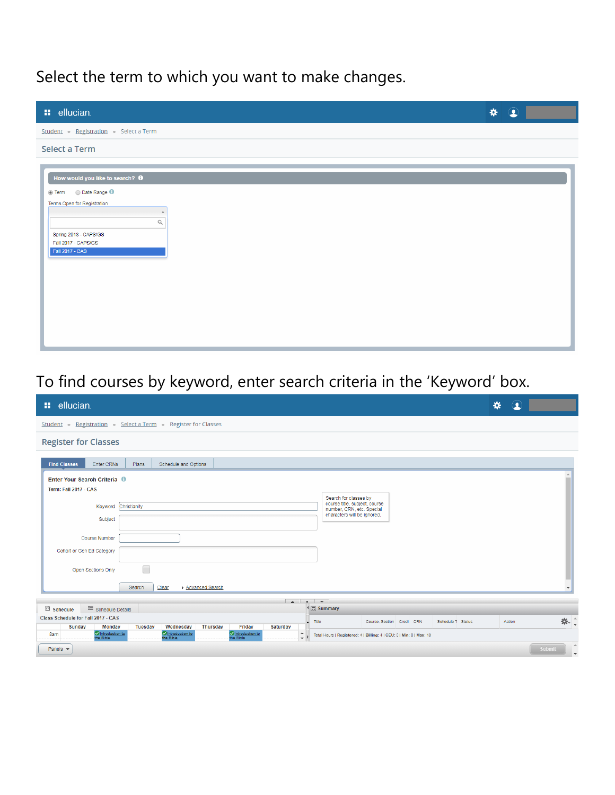## Select the term to which you want to make changes.

| <b>::</b> ellucian.                                                                                                                                                    | * | $\circledcirc$ |  |
|------------------------------------------------------------------------------------------------------------------------------------------------------------------------|---|----------------|--|
| Student - Registration - Select a Term                                                                                                                                 |   |                |  |
| <b>Select a Term</b>                                                                                                                                                   |   |                |  |
| How would you like to search? O<br>● Term ● Date Range 1<br>Terms Open for Registration<br>$\alpha$<br>Spring 2018 - CAPS/GS<br>Fall 2017 - CAPS/GS<br>Fall 2017 - CAS |   |                |  |

## To find courses by keyword, enter search criteria in the 'Keyword' box.

| <b>::</b> ellucian.                                                                                                                                                                                                                                                                                                                                                                                                                                                                                                                                                                                                                                                                                                      | ₩<br>Q                             |  |
|--------------------------------------------------------------------------------------------------------------------------------------------------------------------------------------------------------------------------------------------------------------------------------------------------------------------------------------------------------------------------------------------------------------------------------------------------------------------------------------------------------------------------------------------------------------------------------------------------------------------------------------------------------------------------------------------------------------------------|------------------------------------|--|
| Student - Registration - Select a Term - Register for Classes                                                                                                                                                                                                                                                                                                                                                                                                                                                                                                                                                                                                                                                            |                                    |  |
| <b>Register for Classes</b>                                                                                                                                                                                                                                                                                                                                                                                                                                                                                                                                                                                                                                                                                              |                                    |  |
| <b>Find Classes</b><br>Enter CRNs<br>Schedule and Options<br><b>Plans</b>                                                                                                                                                                                                                                                                                                                                                                                                                                                                                                                                                                                                                                                |                                    |  |
| Enter Your Search Criteria <sup>0</sup><br>Term: Fall 2017 - CAS                                                                                                                                                                                                                                                                                                                                                                                                                                                                                                                                                                                                                                                         |                                    |  |
| Christianity<br>Keyword                                                                                                                                                                                                                                                                                                                                                                                                                                                                                                                                                                                                                                                                                                  |                                    |  |
|                                                                                                                                                                                                                                                                                                                                                                                                                                                                                                                                                                                                                                                                                                                          |                                    |  |
| <b>Course Number</b>                                                                                                                                                                                                                                                                                                                                                                                                                                                                                                                                                                                                                                                                                                     |                                    |  |
|                                                                                                                                                                                                                                                                                                                                                                                                                                                                                                                                                                                                                                                                                                                          |                                    |  |
|                                                                                                                                                                                                                                                                                                                                                                                                                                                                                                                                                                                                                                                                                                                          |                                    |  |
| Search for classes by<br>course title, subject, course<br>number, CRN, etc. Special<br>characters will be ignored.<br>Subject<br>Cohort or Gen Ed Category<br>Open Sections Only<br>Advanced Search<br>Search<br>Clear<br>$\sim$<br>$\cdot$ $\cdot$<br><b>E</b> Schedule Details<br><sup>4</sup> 图 Summary<br><b>类。</b><br>Title<br>Course, Section Credit CRN<br>Schedule T Status<br>Action<br><b>Tuesday</b><br>Wednesday<br><b>Thursday</b><br>Friday<br><b>Saturday</b><br><b>Sunday</b><br><b>Monday</b><br>C Introduction to<br>the Bible<br>Introduction to<br>the Bible<br>Introduction to<br>the Bible<br>$\hat{\mathbb{Q}}$ ).<br>8am<br>Total Hours   Registered: 4   Billing: 4   CEU: 0   Min: 0   Max: 18 |                                    |  |
| schedule                                                                                                                                                                                                                                                                                                                                                                                                                                                                                                                                                                                                                                                                                                                 |                                    |  |
| Class Schedule for Fall 2017 - CAS                                                                                                                                                                                                                                                                                                                                                                                                                                                                                                                                                                                                                                                                                       |                                    |  |
|                                                                                                                                                                                                                                                                                                                                                                                                                                                                                                                                                                                                                                                                                                                          |                                    |  |
| Panels $\blacktriangleright$                                                                                                                                                                                                                                                                                                                                                                                                                                                                                                                                                                                                                                                                                             | Submit<br>$\overline{\phantom{a}}$ |  |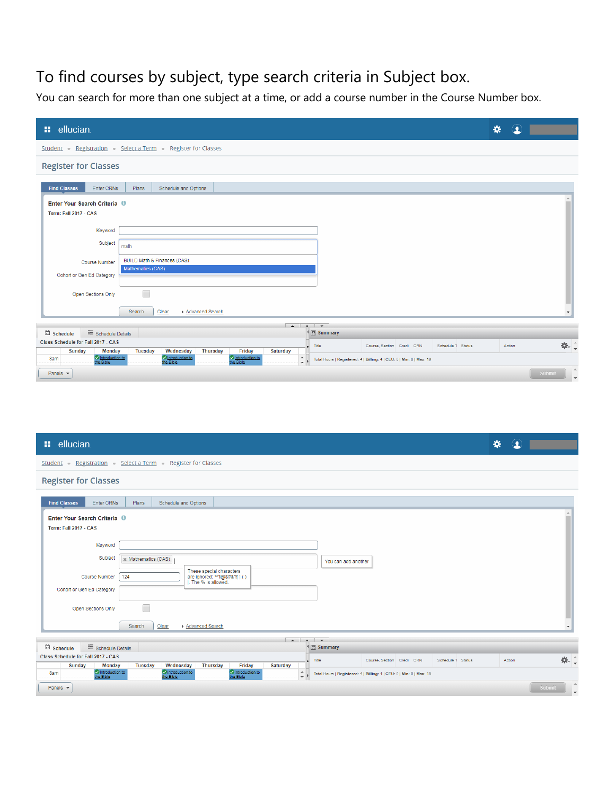## To find courses by subject, type search criteria in Subject box.

You can search for more than one subject at a time, or add a course number in the Course Number box.

| <b>::</b> ellucian.                                                     |                                                                                                                                                         | $\bf{Q}$<br>₩ |                                    |
|-------------------------------------------------------------------------|---------------------------------------------------------------------------------------------------------------------------------------------------------|---------------|------------------------------------|
|                                                                         | Student - Registration - Select a Term - Register for Classes                                                                                           |               |                                    |
| <b>Register for Classes</b>                                             |                                                                                                                                                         |               |                                    |
| <b>Find Classes</b><br>Enter CRNs                                       | Plans<br>Schedule and Options                                                                                                                           |               |                                    |
| Enter Your Search Criteria <sup>0</sup><br><b>Term: Fall 2017 - CAS</b> |                                                                                                                                                         |               |                                    |
| Keyword                                                                 |                                                                                                                                                         |               |                                    |
| Subject                                                                 | math                                                                                                                                                    |               |                                    |
| <b>Course Number</b>                                                    | BUILD Math & Finances (CAS)                                                                                                                             |               |                                    |
| Cohort or Gen Ed Category                                               | Mathematics (CAS)                                                                                                                                       |               |                                    |
| Open Sections Only                                                      |                                                                                                                                                         |               |                                    |
|                                                                         | Clear<br>Advanced Search<br>Search                                                                                                                      |               | $\overline{\phantom{a}}$           |
|                                                                         | $\bullet$ $\bullet$<br>$\sim$                                                                                                                           |               |                                    |
| schedule<br>: Schedule Details                                          | <sup>4</sup> 图 Summary                                                                                                                                  |               |                                    |
| Class Schedule for Fall 2017 - CAS<br>Sunday<br><b>Monday</b>           | Title<br>Course, Section Credit CRN<br>Schedule T Status<br>Wednesday<br><b>Thursday</b><br>Friday<br><b>Saturday</b><br><b>Tuesday</b>                 | Action        | <b>茶。</b>                          |
| C Introduction to<br>the Bible<br>8am                                   | Introduction to<br>the Bible<br>Introduction to<br>the Bible<br>$\hat{\div}$ ).<br>Total Hours   Registered: 4   Billing: 4   CEU: 0   Min: 0   Max: 18 |               |                                    |
| Panels $\blacktriangledown$                                             |                                                                                                                                                         |               | Submit<br>$\overline{\phantom{a}}$ |

| <b>::</b> ellucian.                                                                                                                                                                                             | $\bf{G}$<br>₩            |
|-----------------------------------------------------------------------------------------------------------------------------------------------------------------------------------------------------------------|--------------------------|
| Student - Registration - Select a Term - Register for Classes                                                                                                                                                   |                          |
| <b>Register for Classes</b>                                                                                                                                                                                     |                          |
| Enter CRNs<br>Schedule and Options<br><b>Find Classes</b><br>Plans                                                                                                                                              |                          |
| Enter Your Search Criteria <sup>0</sup><br><b>Term: Fall 2017 - CAS</b>                                                                                                                                         |                          |
| Keyword                                                                                                                                                                                                         |                          |
| Subject<br>x Mathematics (CAS)<br>You can add another<br>These special characters<br><b>Course Number</b><br>124<br>are ignored: *^'!@\$#&?[]()                                                                 |                          |
| . The % is allowed.<br>Cohort or Gen Ed Category                                                                                                                                                                |                          |
| $\overline{\phantom{0}}$<br>Open Sections Only                                                                                                                                                                  |                          |
| Clear<br>Search<br>Advanced Search                                                                                                                                                                              | $\overline{\phantom{a}}$ |
| $\overline{a}$<br>$\cdot$ $\cdot$<br>: Schedule Details<br>schedule<br><sup>◆</sup> 图 Summary                                                                                                                   |                          |
| Class Schedule for Fall 2017 - CAS<br>Title<br>Course, Section Credit CRN<br>Schedule T Status<br><b>Tuesday</b><br>Wednesday<br><b>Thursday</b><br>Friday<br><b>Saturday</b><br><b>Sunday</b><br><b>Monday</b> | <b>茶</b><br>Action       |
| Introduction to<br>the Bible<br>Introduction to<br>the Bible<br>C Introduction to<br>the Bible<br>$\div$<br>8am<br>Total Hours   Registered: 4   Billing: 4   CEU: 0   Min: 0   Max: 18                         |                          |
| Panels $\blacktriangledown$                                                                                                                                                                                     | $\Delta$<br>Submit       |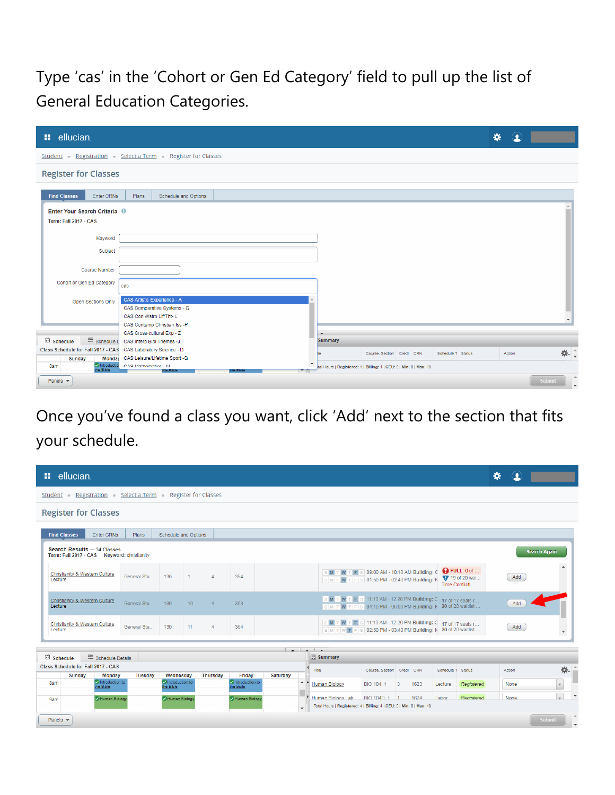Type 'cas' in the 'Cohort or Gen Ed Category' field to pull up the list of General Education Categories.

| <b>::</b> ellucian.                                           |                               |                             |                          |                                                                     |                            |  |                   | ₩      | $\Omega$ |        |                          |
|---------------------------------------------------------------|-------------------------------|-----------------------------|--------------------------|---------------------------------------------------------------------|----------------------------|--|-------------------|--------|----------|--------|--------------------------|
| Student - Registration - Select a Term - Register for Classes |                               |                             |                          |                                                                     |                            |  |                   |        |          |        |                          |
| <b>Register for Classes</b>                                   |                               |                             |                          |                                                                     |                            |  |                   |        |          |        |                          |
|                                                               |                               |                             |                          |                                                                     |                            |  |                   |        |          |        |                          |
| <b>Find Classes</b><br>Enter CRNs                             | Plans                         | Schedule and Options        |                          |                                                                     |                            |  |                   |        |          |        |                          |
| Enter Your Search Criteria <sup>0</sup>                       |                               |                             |                          |                                                                     |                            |  |                   |        |          |        |                          |
| <b>Term: Fall 2017 - CAS</b>                                  |                               |                             |                          |                                                                     |                            |  |                   |        |          |        |                          |
|                                                               |                               |                             |                          |                                                                     |                            |  |                   |        |          |        |                          |
| Keyword                                                       |                               |                             |                          |                                                                     |                            |  |                   |        |          |        |                          |
| Subject                                                       |                               |                             |                          |                                                                     |                            |  |                   |        |          |        |                          |
|                                                               |                               |                             |                          |                                                                     |                            |  |                   |        |          |        |                          |
| <b>Course Number</b>                                          |                               |                             |                          |                                                                     |                            |  |                   |        |          |        |                          |
| Cohort or Gen Ed Category                                     | cas                           |                             |                          |                                                                     |                            |  |                   |        |          |        |                          |
|                                                               |                               |                             |                          |                                                                     |                            |  |                   |        |          |        |                          |
| Open Sections Only                                            | CAS Artistic Experience - A   |                             |                          |                                                                     |                            |  |                   |        |          |        |                          |
|                                                               |                               | CAS Comparative Systems - G |                          |                                                                     |                            |  |                   |        |          |        |                          |
|                                                               | CAS Con Wstrn Lif/Tht-L       |                             |                          |                                                                     |                            |  |                   |        |          |        | $\overline{\mathbf{v}}$  |
|                                                               | CAS Contemp Christian Iss -P  |                             |                          |                                                                     |                            |  |                   |        |          |        |                          |
|                                                               | CAS Cross-cultural Exp - Z    |                             |                          | $\overline{\phantom{0}}$                                            |                            |  |                   |        |          |        |                          |
| schedule<br><b>i</b> . Schedule D                             | CAS Interp Bibl Themes -J     |                             |                          | <b>Summary</b>                                                      |                            |  |                   |        |          |        |                          |
| Class Schedule for Fall 2017 - CAS CAS Laboratory Science - D |                               |                             |                          |                                                                     | Course, Section Credit CRN |  | Schedule T Status | Action |          |        | *. ÷                     |
| <b>Sunday</b><br>Monday                                       | CAS Leisure/Lifetime Sport -Q |                             | $\overline{\phantom{a}}$ |                                                                     |                            |  |                   |        |          |        |                          |
| C Introduction<br>8am                                         | CAS Mathematics - M           |                             |                          | Ital Hours   Registered: 4   Billing: 4   CEU: 0   Min: 0   Max: 18 |                            |  |                   |        |          |        |                          |
| Panels $\blacktriangledown$                                   |                               |                             |                          |                                                                     |                            |  |                   |        |          | Submit | $\overline{\phantom{a}}$ |

Once you've found a class you want, click 'Add' next to the section that fits your schedule.

| <b>::</b> ellucian.                                                        |                                                             |                                   |                                        |                      |                  |                                                                                                                                                            |                           |      |                   |                                              | 娄           |                     |                      |
|----------------------------------------------------------------------------|-------------------------------------------------------------|-----------------------------------|----------------------------------------|----------------------|------------------|------------------------------------------------------------------------------------------------------------------------------------------------------------|---------------------------|------|-------------------|----------------------------------------------|-------------|---------------------|----------------------|
| Student Registration Select a Term Register for Classes                    |                                                             |                                   |                                        |                      |                  |                                                                                                                                                            |                           |      |                   |                                              |             |                     |                      |
| <b>Register for Classes</b>                                                |                                                             |                                   |                                        |                      |                  |                                                                                                                                                            |                           |      |                   |                                              |             |                     |                      |
|                                                                            |                                                             |                                   |                                        |                      |                  |                                                                                                                                                            |                           |      |                   |                                              |             |                     |                      |
| <b>Find Classes</b><br><b>Enter CRNs</b><br><b>Plans</b>                   | Schedule and Options                                        |                                   |                                        |                      |                  |                                                                                                                                                            |                           |      |                   |                                              |             |                     |                      |
| Search Results - 34 Classes<br>Term: Fall 2017 - CAS Keyword: christianity |                                                             |                                   |                                        |                      |                  |                                                                                                                                                            |                           |      |                   |                                              |             | <b>Search Again</b> |                      |
| <b>Christianity &amp; Western Culture</b><br>General Stu<br>Lecture        | 130                                                         | $\Delta$                          | 354                                    |                      |                  | M T W T F S 09:00 AM - 10:10 AM Building: C<br>SMTWTFS 01:50 PM - 02:40 PM Building: N                                                                     |                           |      | Time Conflict!    | <b>Q</b> FULL: 0 of<br><b>V</b> 19 of 20 wai | Add         |                     |                      |
| Christianity & Western Culture<br>General Stu<br>Lecture                   | 130                                                         | 10 <sup>°</sup><br>$\overline{4}$ | 363                                    |                      |                  | S M T W T F S 11:10 AM - 12:20 PM Building: C 17 of 17 seats r<br>S M T W T F S 04:10 PM - 05:00 PM Building: N 20 of 20 waitlist                          |                           |      |                   |                                              | Add         |                     |                      |
| <b>Christianity &amp; Western Culture</b><br>General Stu<br>Lecture        | 130                                                         | 11<br>$\overline{4}$              | 364                                    |                      |                  | S M T W T F S 11:10 AM - 12:20 PM Building: C 17 of 17 seats r<br>$\boxed{\text{s}$ M T W T F $\text{s}$ 02:50 PM - 03:40 PM Building: N 20 of 20 waitlist |                           |      |                   |                                              | Add         |                     | $\blacktriangledown$ |
|                                                                            |                                                             |                                   |                                        | $\sim$ $\sim$ $\sim$ |                  |                                                                                                                                                            |                           |      |                   |                                              |             |                     |                      |
| schedule<br>: Schedule Details                                             |                                                             |                                   |                                        |                      |                  | <b>图 Summary</b>                                                                                                                                           |                           |      |                   |                                              |             |                     |                      |
| Class Schedule for Fall 2017 - CAS                                         |                                                             |                                   |                                        |                      |                  | Title                                                                                                                                                      | Course Section Credit CRN |      | Schedule T Status |                                              | Action      |                     | 焱.                   |
| <b>Sunday</b><br><b>Monday</b><br>Introduction to<br>the Bible<br>8am      | Wednesdav<br><b>Tuesday</b><br>Introduction to<br>the Bible | <b>Thursday</b>                   | Friday<br>Introduction to<br>the Bible | Saturday             | $\blacktriangle$ | Human Biology                                                                                                                                              | BIO 104, 1 3              | 1623 | Lecture           | Registered                                   | None        |                     | $\mathbf{v}$         |
| Human Biology<br>9am                                                       | Human Biology                                               |                                   | Human Biology                          |                      |                  | Human Riology Lab                                                                                                                                          | BIO 104D 1 1              | 1624 | Labor             | Registered                                   | <b>None</b> |                     |                      |
|                                                                            |                                                             |                                   |                                        |                      |                  | Total Hours   Registered: 4   Billing: 4   CEU: 0   Min: 0   Max: 18                                                                                       |                           |      |                   |                                              |             |                     |                      |
| Panels $\blacktriangleright$                                               |                                                             |                                   |                                        |                      |                  |                                                                                                                                                            |                           |      |                   |                                              |             | Submit              |                      |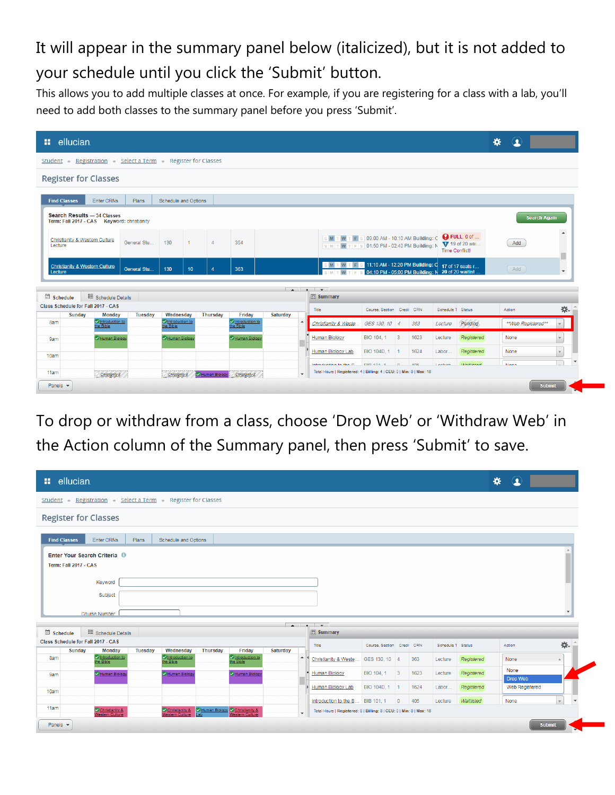# It will appear in the summary panel below (italicized), but it is not added to your schedule until you click the 'Submit' button.

This allows you to add multiple classes at once. For example, if you are registering for a class with a lab, you'll need to add both classes to the summary panel before you press 'Submit'.

| <b>::</b> ellucian.                                                        |                                                 |              |                                                   |    |                 |                                        |          |                                    |                                                                                               |                                                      |            |      |                   |                                               | ∗                   |                          |
|----------------------------------------------------------------------------|-------------------------------------------------|--------------|---------------------------------------------------|----|-----------------|----------------------------------------|----------|------------------------------------|-----------------------------------------------------------------------------------------------|------------------------------------------------------|------------|------|-------------------|-----------------------------------------------|---------------------|--------------------------|
| Student Registration Select a Term Register for Classes                    |                                                 |              |                                                   |    |                 |                                        |          |                                    |                                                                                               |                                                      |            |      |                   |                                               |                     |                          |
| <b>Register for Classes</b>                                                |                                                 |              |                                                   |    |                 |                                        |          |                                    |                                                                                               |                                                      |            |      |                   |                                               |                     |                          |
| <b>Find Classes</b>                                                        | Enter CRNs                                      | Plans        | Schedule and Options                              |    |                 |                                        |          |                                    |                                                                                               |                                                      |            |      |                   |                                               |                     |                          |
| Search Results - 34 Classes<br>Term: Fall 2017 - CAS Keyword: christianity |                                                 |              |                                                   |    |                 |                                        |          |                                    |                                                                                               |                                                      |            |      |                   |                                               | <b>Search Again</b> |                          |
| Christianity & Western Culture<br>Lecture                                  |                                                 | General Stu. | 130                                               |    | $\Lambda$       | 354                                    |          |                                    | M T W T F S 09:00 AM - 10:10 AM Building: C<br>SMTWTFS 01:50 PM-02:40 PM Building: N          |                                                      |            |      | Time Conflict!    | <b>Q</b> FULL: 0 of<br><b>V</b> 19 of 20 wai. | Add                 | $\blacktriangle$         |
| <b>Christianity &amp; Western Culture</b><br>Lecture                       |                                                 | General Stu  | 130                                               | 10 |                 | 363                                    |          |                                    | S M T W T F S 11:10 AM - 12:20 PM Building: Q                                                 | 04:10 PM - 05:00 PM Building: $N$ 20 of 20 waitlist. |            |      |                   | 17 of 17 seats r                              | Add                 | $\overline{\phantom{a}}$ |
| schedule                                                                   | : Schedule Details                              |              |                                                   |    |                 |                                        |          | $\sim$ $\sim$<br><b>El Summary</b> |                                                                                               |                                                      |            |      |                   |                                               |                     |                          |
| Class Schedule for Fall 2017 - CAS                                         |                                                 |              |                                                   |    |                 |                                        |          | Title                              |                                                                                               | Course, Section Credit CRN                           |            |      | Schedule T Status |                                               | Action              | 杂.                       |
| Sunday<br>8am                                                              | <b>Monday</b><br>C Introduction to<br>the Bible | Tuesday      | Wednesday<br>Changed introduction to<br>the Bible |    | <b>Thursday</b> | Friday<br>Introduction to<br>the Bible | Saturday | $\blacktriangle$                   | Christianity & Weste                                                                          | GES 130, 10 4                                        |            | 363  | Lecture           | Pending                                       | **Web Registered**  |                          |
| 9am                                                                        | Human Biology                                   |              | Human Biology                                     |    |                 | Human Biology                          |          |                                    | <b>Human Biology</b>                                                                          | BIO 104, 1 3                                         |            | 1623 | Lecture           | Registered                                    | None                |                          |
| 10am                                                                       |                                                 |              |                                                   |    |                 |                                        |          |                                    | Human Biology Lab                                                                             | BIO 104D, 1 1                                        |            | 1624 | Labor             | Registered                                    | None                | $\mathbf{v}$             |
| 11am                                                                       |                                                 |              |                                                   |    |                 |                                        |          |                                    | Introduction to the D<br>Total Hours   Registered: 4   Billing: 4   CEU: 0   Min: 0   Max: 18 | DID 404-4                                            | $\sqrt{2}$ | ABC  | Looking           | <b><i>IAIR/Hintood</i></b>                    | <b>Mann</b>         |                          |
| Panels $\blacktriangleright$                                               | Christianity &                                  |              | Christianity 8                                    |    |                 | Human Biology Christianity &           |          | $\overline{\phantom{a}}$           |                                                                                               |                                                      |            |      |                   |                                               | <b>Submit</b>       |                          |

To drop or withdraw from a class, choose 'Drop Web' or 'Withdraw Web' in the Action column of the Summary panel, then press 'Submit' to save.

| <b>::</b> ellucian.                                                                     |                                                                 |                                                                |                          | ₩                        | $\bullet$              |              |
|-----------------------------------------------------------------------------------------|-----------------------------------------------------------------|----------------------------------------------------------------|--------------------------|--------------------------|------------------------|--------------|
| Student - Registration - Select a Term - Register for Classes                           |                                                                 |                                                                |                          |                          |                        |              |
| <b>Register for Classes</b>                                                             |                                                                 |                                                                |                          |                          |                        |              |
| Enter CRNs<br><b>Schedule and Options</b><br><b>Find Classes</b><br>Plans               |                                                                 |                                                                |                          |                          |                        |              |
| Enter Your Search Criteria <sup>0</sup>                                                 |                                                                 |                                                                |                          |                          |                        |              |
| <b>Term: Fall 2017 - CAS</b>                                                            |                                                                 |                                                                |                          |                          |                        |              |
|                                                                                         |                                                                 |                                                                |                          |                          |                        |              |
| Keyword                                                                                 |                                                                 |                                                                |                          |                          |                        |              |
| Subject                                                                                 |                                                                 |                                                                |                          |                          |                        |              |
|                                                                                         |                                                                 |                                                                |                          |                          |                        |              |
| Course Number                                                                           |                                                                 |                                                                |                          |                          |                        |              |
| schedule<br>: Schedule Details                                                          | <b>■ Summary</b>                                                |                                                                |                          |                          |                        |              |
|                                                                                         | Title                                                           | Course, Section Credit CRN                                     | Schedule T Status        |                          | Action                 | 杂.           |
| <b>Thursday</b><br><b>Sunday</b><br><b>Tuesday</b><br>Wednesday<br><b>Monday</b><br>8am | Friday<br>Saturday<br>$\blacktriangle$<br>Christianity & Weste. | GES 130, 10 4                                                  | 363<br>Lecture           | Registered               | None                   |              |
| C Introduction to<br>the Bible<br>Mintroduction to<br>the Bible<br>Human Biology        | Introduction to<br>the Bible<br>Human Biology                   | BIO 104, 1 3                                                   | 1623<br>Lecture          | Registered               | None                   |              |
| Human Biology<br>9am                                                                    | Human Biology                                                   |                                                                |                          |                          | Drop Web               |              |
| Class Schedule for Fall 2017 - CAS<br>10am                                              | Human Biology Lab<br>Introduction to the B                      | BIO 104D, 1 1<br>BIB 101, 1<br>405<br>$\overline{\phantom{0}}$ | 1624<br>Labor<br>Lecture | Registered<br>Waitlisted | Web Registered<br>None | $\mathbf{v}$ |